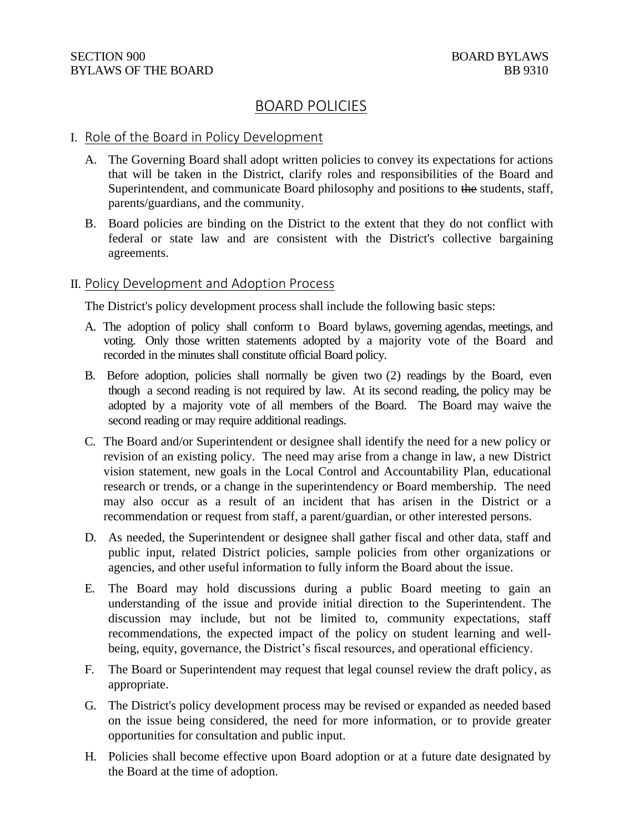# BOARD POLICIES

#### I. Role of the Board in Policy Development

- A. The Governing Board shall adopt written policies to convey its expectations for actions that will be taken in the District, clarify roles and responsibilities of the Board and Superintendent, and communicate Board philosophy and positions to the students, staff, parents/guardians, and the community.
- B. Board policies are binding on the District to the extent that they do not conflict with federal or state law and are consistent with the District's collective bargaining agreements.

#### II. Policy Development and Adoption Process

The District's policy development process shall include the following basic steps:

- A. The adoption of policy shall conform to Board bylaws, governing agendas, meetings, and voting. Only those written statements adopted by a majority vote of the Board and recorded in the minutes shall constitute official Board policy.
- B. Before adoption, policies shall normally be given two (2) readings by the Board, even though a second reading is not required by law. At its second reading, the policy may be adopted by a majority vote of all members of the Board. The Board may waive the second reading or may require additional readings.
- C. The Board and/or Superintendent or designee shall identify the need for a new policy or revision of an existing policy. The need may arise from a change in law, a new District vision statement, new goals in the Local Control and Accountability Plan, educational research or trends, or a change in the superintendency or Board membership. The need may also occur as a result of an incident that has arisen in the District or a recommendation or request from staff, a parent/guardian, or other interested persons.
- D. As needed, the Superintendent or designee shall gather fiscal and other data, staff and public input, related District policies, sample policies from other organizations or agencies, and other useful information to fully inform the Board about the issue.
- E. The Board may hold discussions during a public Board meeting to gain an understanding of the issue and provide initial direction to the Superintendent. The discussion may include, but not be limited to, community expectations, staff recommendations, the expected impact of the policy on student learning and wellbeing, equity, governance, the District's fiscal resources, and operational efficiency.
- F. The Board or Superintendent may request that legal counsel review the draft policy, as appropriate.
- G. The District's policy development process may be revised or expanded as needed based on the issue being considered, the need for more information, or to provide greater opportunities for consultation and public input.
- H. Policies shall become effective upon Board adoption or at a future date designated by the Board at the time of adoption.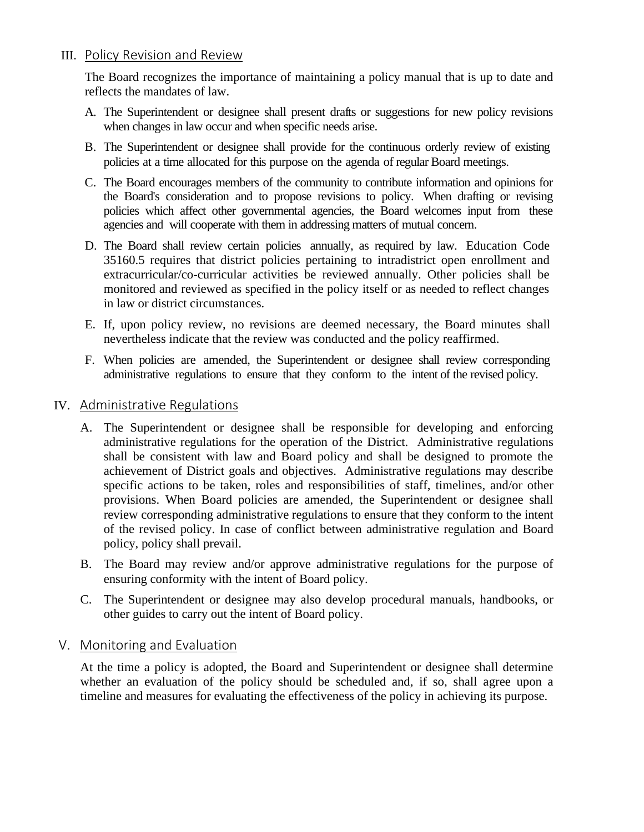## III. Policy Revision and Review

The Board recognizes the importance of maintaining a policy manual that is up to date and reflects the mandates of law.

- A. The Superintendent or designee shall present drafts or suggestions for new policy revisions when changes in law occur and when specific needs arise.
- B. The Superintendent or designee shall provide for the continuous orderly review of existing policies at a time allocated for this purpose on the agenda of regular Board meetings.
- C. The Board encourages members of the community to contribute information and opinions for the Board's consideration and to propose revisions to policy. When drafting or revising policies which affect other governmental agencies, the Board welcomes input from these agencies and will cooperate with them in addressing matters of mutual concern.
- D. The Board shall review certain policies annually, as required by law. Education Code 35160.5 requires that district policies pertaining to intradistrict open enrollment and extracurricular/co-curricular activities be reviewed annually. Other policies shall be monitored and reviewed as specified in the policy itself or as needed to reflect changes in law or district circumstances.
- E. If, upon policy review, no revisions are deemed necessary, the Board minutes shall nevertheless indicate that the review was conducted and the policy reaffirmed.
- F. When policies are amended, the Superintendent or designee shall review corresponding administrative regulations to ensure that they conform to the intent of the revised policy.

### IV. Administrative Regulations

- A. The Superintendent or designee shall be responsible for developing and enforcing administrative regulations for the operation of the District. Administrative regulations shall be consistent with law and Board policy and shall be designed to promote the achievement of District goals and objectives. Administrative regulations may describe specific actions to be taken, roles and responsibilities of staff, timelines, and/or other provisions. When Board policies are amended, the Superintendent or designee shall review corresponding administrative regulations to ensure that they conform to the intent of the revised policy. In case of conflict between administrative regulation and Board policy, policy shall prevail.
- B. The Board may review and/or approve administrative regulations for the purpose of ensuring conformity with the intent of Board policy.
- C. The Superintendent or designee may also develop procedural manuals, handbooks, or other guides to carry out the intent of Board policy.

### V. Monitoring and Evaluation

At the time a policy is adopted, the Board and Superintendent or designee shall determine whether an evaluation of the policy should be scheduled and, if so, shall agree upon a timeline and measures for evaluating the effectiveness of the policy in achieving its purpose.